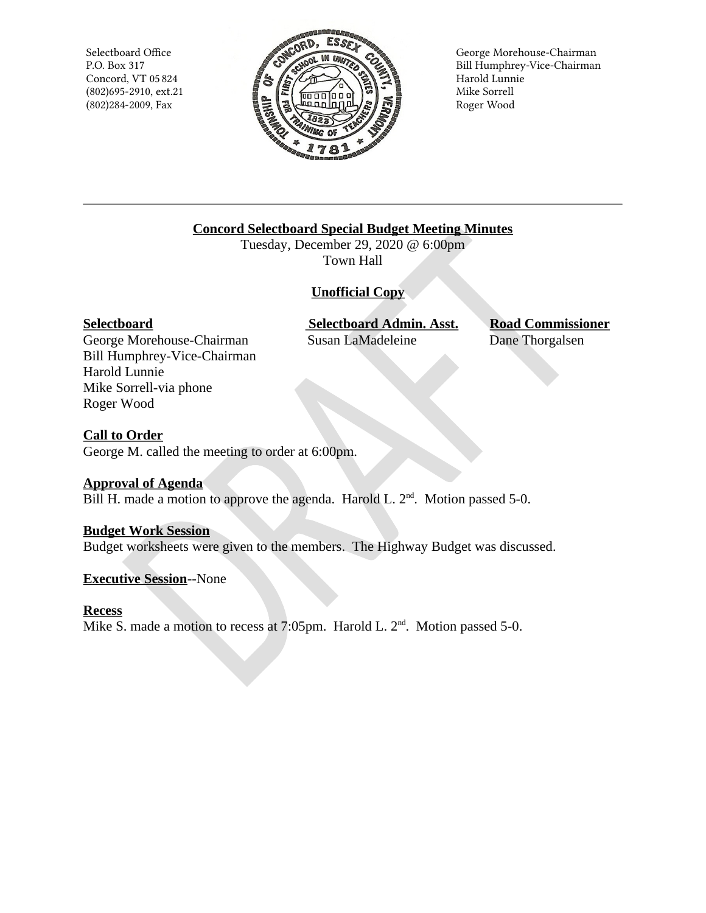Selectboard Office P.O. Box 317 Concord, VT 05 824  $(802)695 - 2910$ , ext.21 (802)284-2009, Fax



George Morehouse-Chairman Bill Humphrey-Vice-Chairman Harold Lunnie Mike Sorrell Roger Wood

# **Concord Selectboard Special Budget Meeting Minutes**

Tuesday, December 29, 2020 @ 6:00pm Town Hall

# **Unofficial Copy**

## Selectboard

George Morehouse-Chairman Bill Humphrey-Vice-Chairman Harold Lunnie Mike Sorrell-via phone Roger Wood

**Selectboard Admin. Asst.** Susan LaMadeleine

**Road Commissioner** Dane Thorgalsen

# **Call to Order**

George M. called the meeting to order at 6:00pm.

# **Approval of Agenda**

Bill H. made a motion to approve the agenda. Harold L. 2<sup>nd</sup>. Motion passed 5-0.

## **Budget Work Session**

Budget worksheets were given to the members. The Highway Budget was discussed.

## **Executive Session--None**

# **Recess**

Mike S. made a motion to recess at 7:05pm. Harold L.  $2<sup>nd</sup>$ . Motion passed 5-0.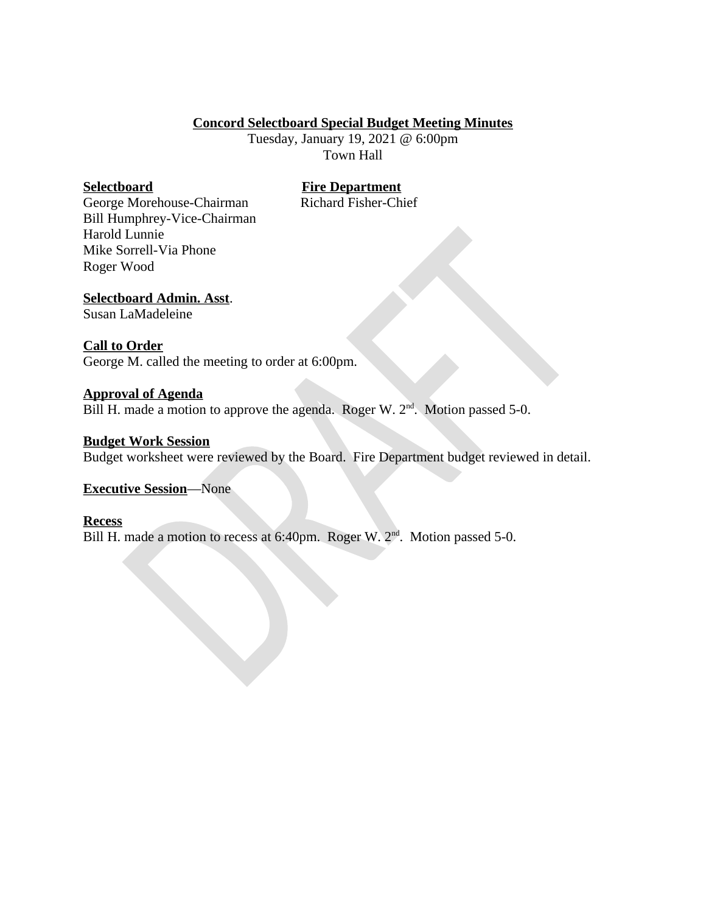## **Concord Selectboard Special Budget Meeting Minutes**

Tuesday, January 19, 2021 @ 6:00pm **Town Hall** 

## **Selectboard**

## **Fire Department**

Richard Fisher-Chief

George Morehouse-Chairman Bill Humphrey-Vice-Chairman Harold Lunnie Mike Sorrell-Via Phone Roger Wood

## **Selectboard Admin. Asst.**

Susan LaMadeleine

## **Call to Order**

George M. called the meeting to order at 6:00pm.

## **Approval of Agenda**

Bill H. made a motion to approve the agenda. Roger W.  $2<sup>nd</sup>$ . Motion passed 5-0.

## **Budget Work Session**

Budget worksheet were reviewed by the Board. Fire Department budget reviewed in detail.

## **Executive Session-None**

## **Recess**

Bill H. made a motion to recess at 6:40pm. Roger W. 2<sup>nd</sup>. Motion passed 5-0.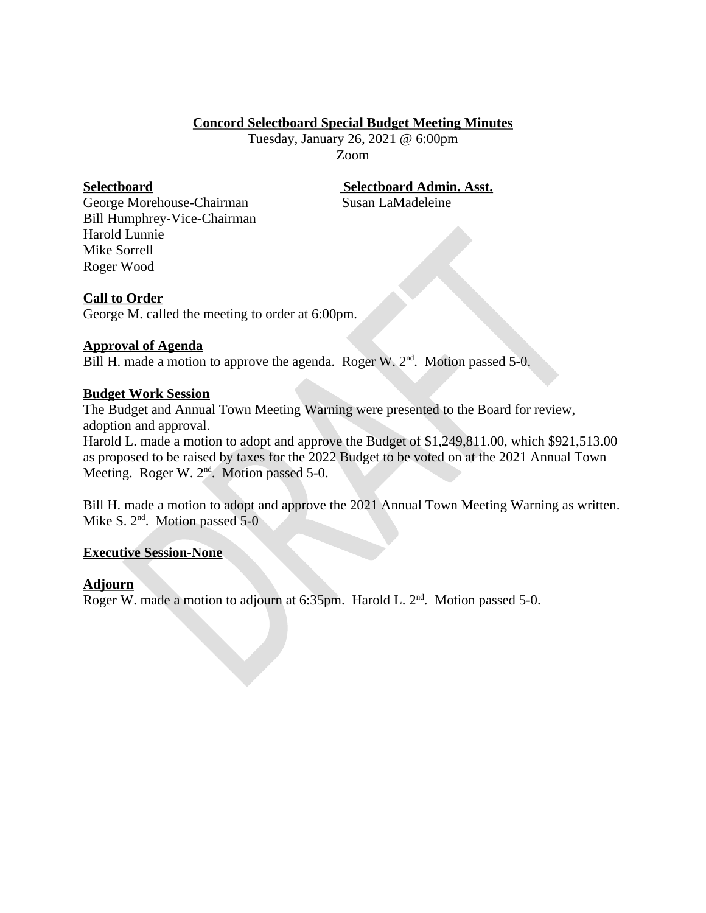## **Concord Selectboard Special Budget Meeting Minutes**

Tuesday, January 26, 2021 @ 6:00pm Zoom

## **Selectboard**

## **Selectboard Admin. Asst.**

Susan LaMadeleine

George Morehouse-Chairman Bill Humphrey-Vice-Chairman Harold Lunnie Mike Sorrell Roger Wood

## **Call to Order**

George M. called the meeting to order at 6:00pm.

## **Approval of Agenda**

Bill H. made a motion to approve the agenda. Roger W.  $2<sup>nd</sup>$ . Motion passed 5-0.

## **Budget Work Session**

The Budget and Annual Town Meeting Warning were presented to the Board for review, adoption and approval.

Harold L. made a motion to adopt and approve the Budget of \$1,249,811.00, which \$921,513.00 as proposed to be raised by taxes for the 2022 Budget to be voted on at the 2021 Annual Town Meeting. Roger W.  $2<sup>nd</sup>$ . Motion passed 5-0.

Bill H. made a motion to adopt and approve the 2021 Annual Town Meeting Warning as written. Mike S.  $2<sup>nd</sup>$ . Motion passed 5-0

## **Executive Session-None**

## **Adjourn**

Roger W. made a motion to adjourn at 6:35pm. Harold L. 2<sup>nd</sup>. Motion passed 5-0.